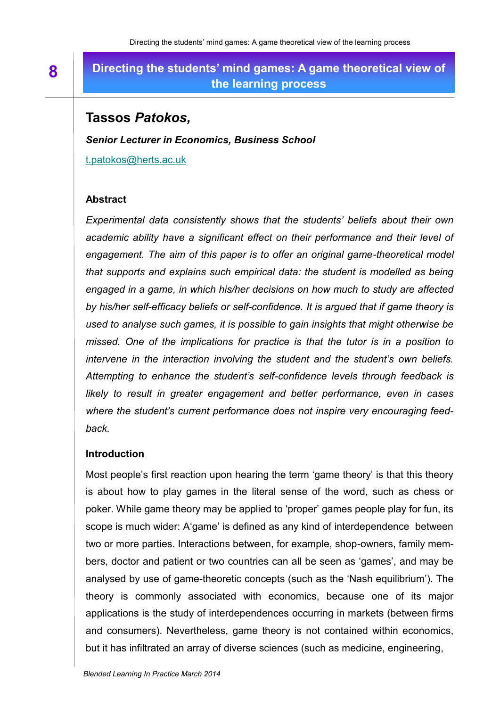# **Directing the students' mind games: A game theoretical view of the learning process**

## **Tassos** *Patokos,*

*Senior Lecturer in Economics, Business School*

t.patokos[@herts.ac.uk](mailto:a.saunders05@herts.ac.uk)

#### **Abstract**

*Experimental data consistently shows that the students' beliefs about their own academic ability have a significant effect on their performance and their level of engagement. The aim of this paper is to offer an original game-theoretical model that supports and explains such empirical data: the student is modelled as being engaged in a game, in which his/her decisions on how much to study are affected by his/her self-efficacy beliefs or self-confidence. It is argued that if game theory is used to analyse such games, it is possible to gain insights that might otherwise be missed. One of the implications for practice is that the tutor is in a position to intervene in the interaction involving the student and the student's own beliefs. Attempting to enhance the student's self-confidence levels through feedback is likely to result in greater engagement and better performance, even in cases where the student's current performance does not inspire very encouraging feedback.*

#### **Introduction**

Most people's first reaction upon hearing the term 'game theory' is that this theory is about how to play games in the literal sense of the word, such as chess or poker. While game theory may be applied to 'proper' games people play for fun, its scope is much wider: A'game' is defined as any kind of interdependence between two or more parties. Interactions between, for example, shop-owners, family members, doctor and patient or two countries can all be seen as 'games', and may be analysed by use of game-theoretic concepts (such as the 'Nash equilibrium'). The theory is commonly associated with economics, because one of its major applications is the study of interdependences occurring in markets (between firms and consumers). Nevertheless, game theory is not contained within economics, but it has infiltrated an array of diverse sciences (such as medicine, engineering,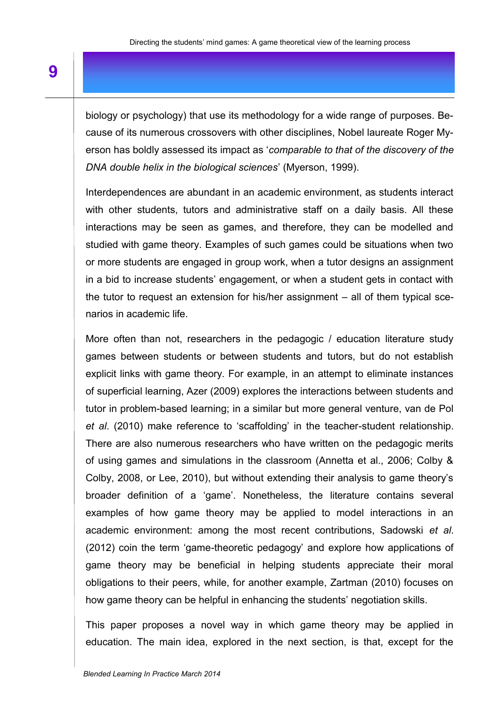biology or psychology) that use its methodology for a wide range of purposes. Because of its numerous crossovers with other disciplines, Nobel laureate Roger Myerson has boldly assessed its impact as '*comparable to that of the discovery of the DNA double helix in the biological sciences*' (Myerson, 1999).

Interdependences are abundant in an academic environment, as students interact with other students, tutors and administrative staff on a daily basis. All these interactions may be seen as games, and therefore, they can be modelled and studied with game theory. Examples of such games could be situations when two or more students are engaged in group work, when a tutor designs an assignment in a bid to increase students' engagement, or when a student gets in contact with the tutor to request an extension for his/her assignment – all of them typical scenarios in academic life.

More often than not, researchers in the pedagogic / education literature study games between students or between students and tutors, but do not establish explicit links with game theory. For example, in an attempt to eliminate instances of superficial learning, Azer (2009) explores the interactions between students and tutor in problem-based learning; in a similar but more general venture, van de Pol *et al*. (2010) make reference to 'scaffolding' in the teacher-student relationship. There are also numerous researchers who have written on the pedagogic merits of using games and simulations in the classroom (Annetta et al., 2006; Colby & Colby, 2008, or Lee, 2010), but without extending their analysis to game theory's broader definition of a 'game'. Nonetheless, the literature contains several examples of how game theory may be applied to model interactions in an academic environment: among the most recent contributions, Sadowski *et al*. (2012) coin the term 'game-theoretic pedagogy' and explore how applications of game theory may be beneficial in helping students appreciate their moral obligations to their peers, while, for another example, Zartman (2010) focuses on how game theory can be helpful in enhancing the students' negotiation skills.

This paper proposes a novel way in which game theory may be applied in education. The main idea, explored in the next section, is that, except for the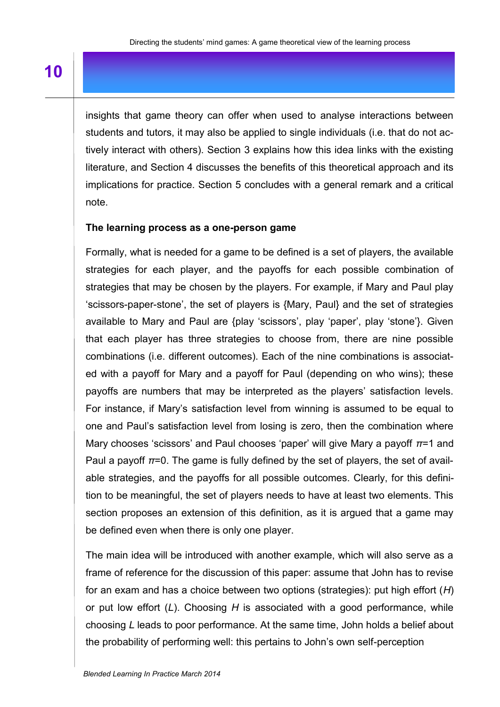insights that game theory can offer when used to analyse interactions between students and tutors, it may also be applied to single individuals (i.e. that do not actively interact with others). Section 3 explains how this idea links with the existing literature, and Section 4 discusses the benefits of this theoretical approach and its implications for practice. Section 5 concludes with a general remark and a critical note.

#### **The learning process as a one-person game**

Formally, what is needed for a game to be defined is a set of players, the available strategies for each player, and the payoffs for each possible combination of strategies that may be chosen by the players. For example, if Mary and Paul play 'scissors-paper-stone', the set of players is {Mary, Paul} and the set of strategies available to Mary and Paul are {play 'scissors', play 'paper', play 'stone'}. Given that each player has three strategies to choose from, there are nine possible combinations (i.e. different outcomes). Each of the nine combinations is associated with a payoff for Mary and a payoff for Paul (depending on who wins); these payoffs are numbers that may be interpreted as the players' satisfaction levels. For instance, if Mary's satisfaction level from winning is assumed to be equal to one and Paul's satisfaction level from losing is zero, then the combination where Mary chooses 'scissors' and Paul chooses 'paper' will give Mary a payoff *π*=1 and Paul a payoff *π*=0. The game is fully defined by the set of players, the set of available strategies, and the payoffs for all possible outcomes. Clearly, for this definition to be meaningful, the set of players needs to have at least two elements. This section proposes an extension of this definition, as it is argued that a game may be defined even when there is only one player.

The main idea will be introduced with another example, which will also serve as a frame of reference for the discussion of this paper: assume that John has to revise for an exam and has a choice between two options (strategies): put high effort (*H*) or put low effort (*L*). Choosing *H* is associated with a good performance, while choosing *L* leads to poor performance. At the same time, John holds a belief about the probability of performing well: this pertains to John's own self-perception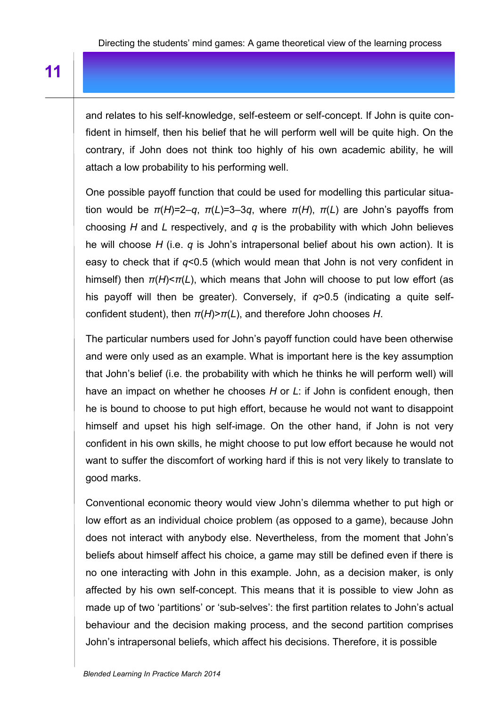and relates to his self-knowledge, self-esteem or self-concept. If John is quite confident in himself, then his belief that he will perform well will be quite high. On the contrary, if John does not think too highly of his own academic ability, he will attach a low probability to his performing well.

One possible payoff function that could be used for modelling this particular situation would be *π*(*Η*)=2–*q*, *π*(*L*)=3–3*q*, where *π*(*Η*), *π*(*L*) are John's payoffs from choosing *Η* and *L* respectively, and *q* is the probability with which John believes he will choose *H* (i.e. *q* is John's intrapersonal belief about his own action). It is easy to check that if *q*<0.5 (which would mean that John is not very confident in himself) then *π*(*Η*)<*π*(*L*), which means that John will choose to put low effort (as his payoff will then be greater). Conversely, if *q*>0.5 (indicating a quite selfconfident student), then *π*(*Η*)>*π*(*L*), and therefore John chooses *H*.

The particular numbers used for John's payoff function could have been otherwise and were only used as an example. What is important here is the key assumption that John's belief (i.e. the probability with which he thinks he will perform well) will have an impact on whether he chooses *H* or *L*: if John is confident enough, then he is bound to choose to put high effort, because he would not want to disappoint himself and upset his high self-image. On the other hand, if John is not very confident in his own skills, he might choose to put low effort because he would not want to suffer the discomfort of working hard if this is not very likely to translate to good marks.

Conventional economic theory would view John's dilemma whether to put high or low effort as an individual choice problem (as opposed to a game), because John does not interact with anybody else. Nevertheless, from the moment that John's beliefs about himself affect his choice, a game may still be defined even if there is no one interacting with John in this example. John, as a decision maker, is only affected by his own self-concept. This means that it is possible to view John as made up of two 'partitions' or 'sub-selves': the first partition relates to John's actual behaviour and the decision making process, and the second partition comprises John's intrapersonal beliefs, which affect his decisions. Therefore, it is possible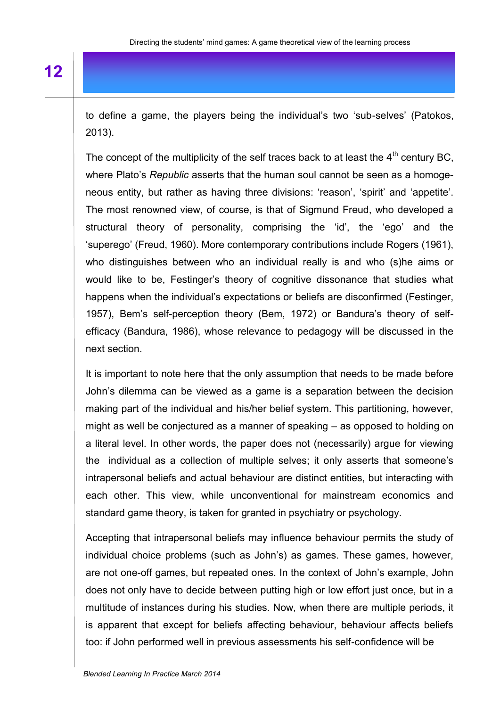to define a game, the players being the individual's two 'sub-selves' (Patokos, 2013).

The concept of the multiplicity of the self traces back to at least the  $4<sup>th</sup>$  century BC, where Plato's *Republic* asserts that the human soul cannot be seen as a homogeneous entity, but rather as having three divisions: 'reason', 'spirit' and 'appetite'. The most renowned view, of course, is that of Sigmund Freud, who developed a structural theory of personality, comprising the 'id', the 'ego' and the 'superego' (Freud, 1960). More contemporary contributions include Rogers (1961), who distinguishes between who an individual really is and who (s)he aims or would like to be, Festinger's theory of cognitive dissonance that studies what happens when the individual's expectations or beliefs are disconfirmed (Festinger, 1957), Bem's self-perception theory (Bem, 1972) or Bandura's theory of selfefficacy (Bandura, 1986), whose relevance to pedagogy will be discussed in the next section.

It is important to note here that the only assumption that needs to be made before John's dilemma can be viewed as a game is a separation between the decision making part of the individual and his/her belief system. This partitioning, however, might as well be conjectured as a manner of speaking – as opposed to holding on a literal level. In other words, the paper does not (necessarily) argue for viewing the individual as a collection of multiple selves; it only asserts that someone's intrapersonal beliefs and actual behaviour are distinct entities, but interacting with each other. This view, while unconventional for mainstream economics and standard game theory, is taken for granted in psychiatry or psychology.

Accepting that intrapersonal beliefs may influence behaviour permits the study of individual choice problems (such as John's) as games. These games, however, are not one-off games, but repeated ones. In the context of John's example, John does not only have to decide between putting high or low effort just once, but in a multitude of instances during his studies. Now, when there are multiple periods, it is apparent that except for beliefs affecting behaviour, behaviour affects beliefs too: if John performed well in previous assessments his self-confidence will be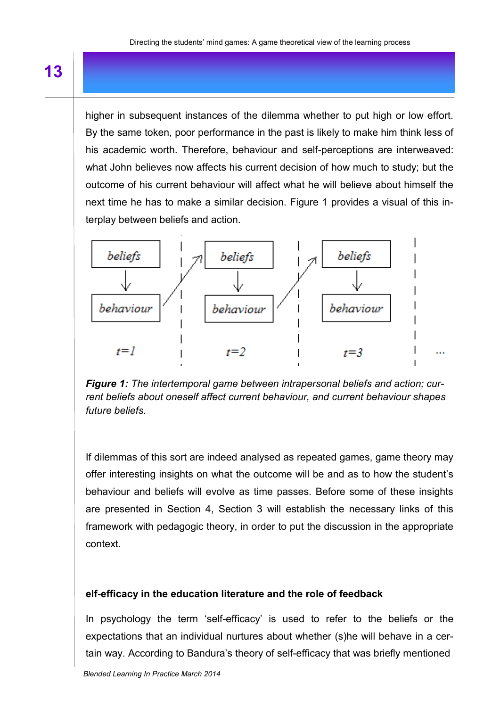higher in subsequent instances of the dilemma whether to put high or low effort. By the same token, poor performance in the past is likely to make him think less of his academic worth. Therefore, behaviour and self-perceptions are interweaved: what John believes now affects his current decision of how much to study; but the outcome of his current behaviour will affect what he will believe about himself the next time he has to make a similar decision. Figure 1 provides a visual of this interplay between beliefs and action.



*Figure 1: The intertemporal game between intrapersonal beliefs and action; current beliefs about oneself affect current behaviour, and current behaviour shapes future beliefs.*

If dilemmas of this sort are indeed analysed as repeated games, game theory may offer interesting insights on what the outcome will be and as to how the student's behaviour and beliefs will evolve as time passes. Before some of these insights are presented in Section 4, Section 3 will establish the necessary links of this framework with pedagogic theory, in order to put the discussion in the appropriate context.

#### **elf-efficacy in the education literature and the role of feedback**

In psychology the term 'self-efficacy' is used to refer to the beliefs or the expectations that an individual nurtures about whether (s)he will behave in a certain way. According to Bandura's theory of self-efficacy that was briefly mentioned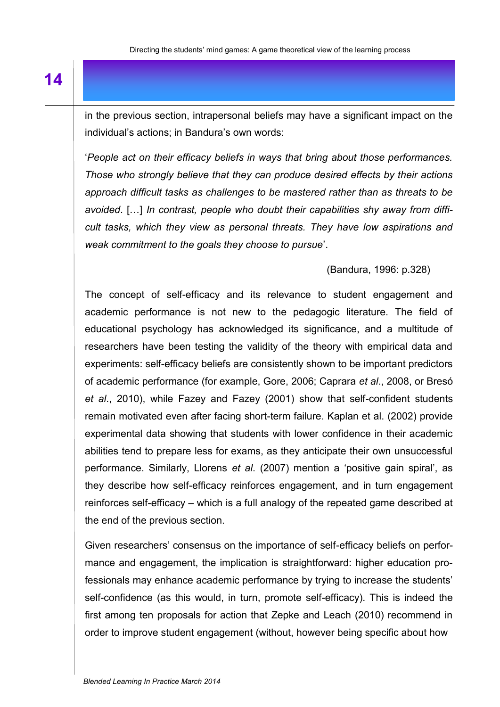in the previous section, intrapersonal beliefs may have a significant impact on the individual's actions; in Bandura's own words:

'*People act on their efficacy beliefs in ways that bring about those performances. Those who strongly believe that they can produce desired effects by their actions approach difficult tasks as challenges to be mastered rather than as threats to be avoided*. […] *In contrast, people who doubt their capabilities shy away from difficult tasks, which they view as personal threats. They have low aspirations and weak commitment to the goals they choose to pursue*'.

### (Bandura, 1996: p.328)

The concept of self-efficacy and its relevance to student engagement and academic performance is not new to the pedagogic literature. The field of educational psychology has acknowledged its significance, and a multitude of researchers have been testing the validity of the theory with empirical data and experiments: self-efficacy beliefs are consistently shown to be important predictors of academic performance (for example, Gore, 2006; Caprara *et al*., 2008, or Bresó *et al*., 2010), while Fazey and Fazey (2001) show that self-confident students remain motivated even after facing short-term failure. Kaplan et al. (2002) provide experimental data showing that students with lower confidence in their academic abilities tend to prepare less for exams, as they anticipate their own unsuccessful performance. Similarly, Llorens *et al*. (2007) mention a 'positive gain spiral', as they describe how self-efficacy reinforces engagement, and in turn engagement reinforces self-efficacy – which is a full analogy of the repeated game described at the end of the previous section.

Given researchers' consensus on the importance of self-efficacy beliefs on performance and engagement, the implication is straightforward: higher education professionals may enhance academic performance by trying to increase the students' self-confidence (as this would, in turn, promote self-efficacy). This is indeed the first among ten proposals for action that Zepke and Leach (2010) recommend in order to improve student engagement (without, however being specific about how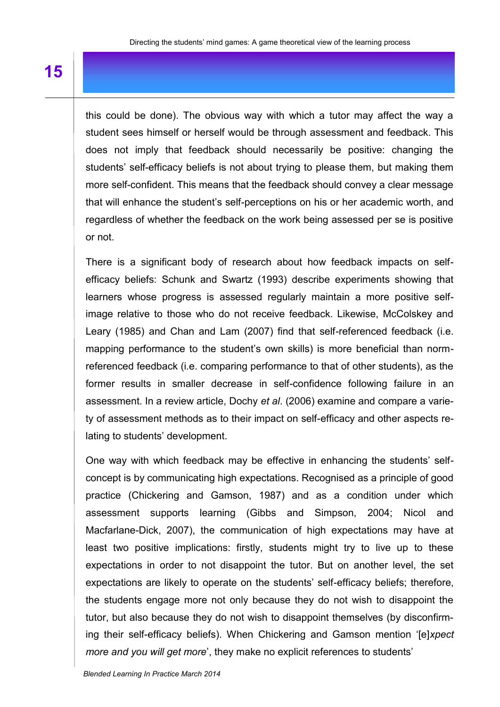this could be done). The obvious way with which a tutor may affect the way a student sees himself or herself would be through assessment and feedback. This does not imply that feedback should necessarily be positive: changing the students' self-efficacy beliefs is not about trying to please them, but making them more self-confident. This means that the feedback should convey a clear message that will enhance the student's self-perceptions on his or her academic worth, and regardless of whether the feedback on the work being assessed per se is positive or not.

There is a significant body of research about how feedback impacts on selfefficacy beliefs: Schunk and Swartz (1993) describe experiments showing that learners whose progress is assessed regularly maintain a more positive selfimage relative to those who do not receive feedback. Likewise, McColskey and Leary (1985) and Chan and Lam (2007) find that self-referenced feedback (i.e. mapping performance to the student's own skills) is more beneficial than normreferenced feedback (i.e. comparing performance to that of other students), as the former results in smaller decrease in self-confidence following failure in an assessment. In a review article, Dochy *et al*. (2006) examine and compare a variety of assessment methods as to their impact on self-efficacy and other aspects relating to students' development.

One way with which feedback may be effective in enhancing the students' selfconcept is by communicating high expectations. Recognised as a principle of good practice (Chickering and Gamson, 1987) and as a condition under which assessment supports learning (Gibbs and Simpson, 2004; Nicol and Macfarlane-Dick, 2007), the communication of high expectations may have at least two positive implications: firstly, students might try to live up to these expectations in order to not disappoint the tutor. But on another level, the set expectations are likely to operate on the students' self-efficacy beliefs; therefore, the students engage more not only because they do not wish to disappoint the tutor, but also because they do not wish to disappoint themselves (by disconfirming their self-efficacy beliefs). When Chickering and Gamson mention '[e]*xpect more and you will get more*', they make no explicit references to students'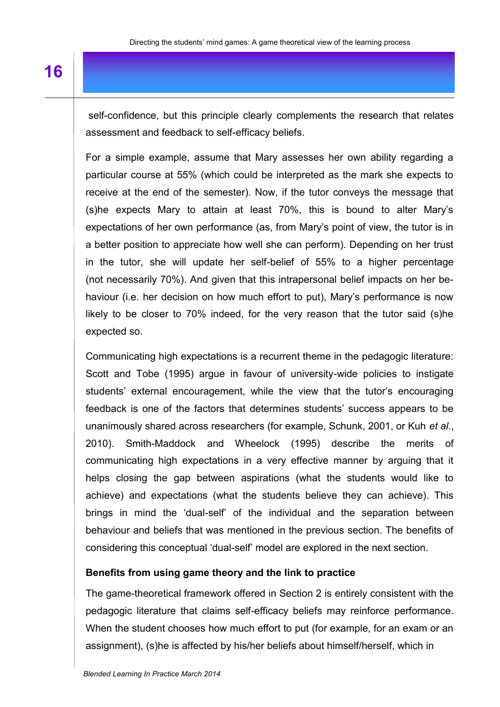self-confidence, but this principle clearly complements the research that relates assessment and feedback to self-efficacy beliefs.

For a simple example, assume that Mary assesses her own ability regarding a particular course at 55% (which could be interpreted as the mark she expects to receive at the end of the semester). Now, if the tutor conveys the message that (s)he expects Mary to attain at least 70%, this is bound to alter Mary's expectations of her own performance (as, from Mary's point of view, the tutor is in a better position to appreciate how well she can perform). Depending on her trust in the tutor, she will update her self-belief of 55% to a higher percentage (not necessarily 70%). And given that this intrapersonal belief impacts on her behaviour (i.e. her decision on how much effort to put), Mary's performance is now likely to be closer to 70% indeed, for the very reason that the tutor said (s)he expected so.

Communicating high expectations is a recurrent theme in the pedagogic literature: Scott and Tobe (1995) argue in favour of university-wide policies to instigate students' external encouragement, while the view that the tutor's encouraging feedback is one of the factors that determines students' success appears to be unanimously shared across researchers (for example, Schunk, 2001, or Kuh *et al*., 2010). Smith-Maddock and Wheelock (1995) describe the merits of communicating high expectations in a very effective manner by arguing that it helps closing the gap between aspirations (what the students would like to achieve) and expectations (what the students believe they can achieve). This brings in mind the 'dual-self' of the individual and the separation between behaviour and beliefs that was mentioned in the previous section. The benefits of considering this conceptual 'dual-self' model are explored in the next section.

#### **Benefits from using game theory and the link to practice**

The game-theoretical framework offered in Section 2 is entirely consistent with the pedagogic literature that claims self-efficacy beliefs may reinforce performance. When the student chooses how much effort to put (for example, for an exam or an assignment), (s)he is affected by his/her beliefs about himself/herself, which in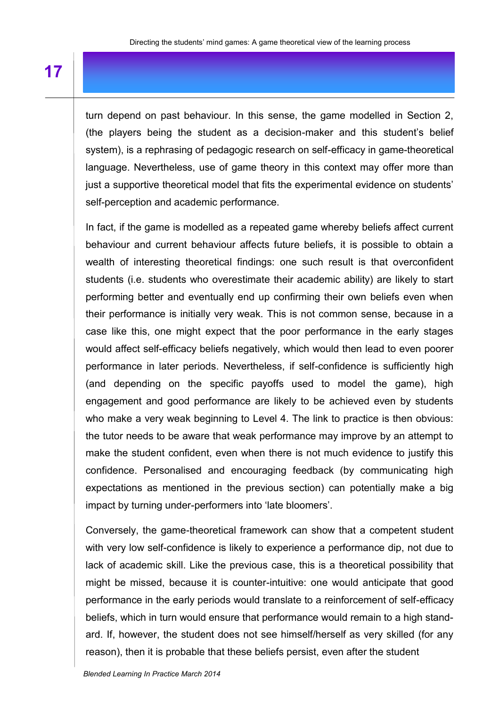turn depend on past behaviour. In this sense, the game modelled in Section 2, (the players being the student as a decision-maker and this student's belief system), is a rephrasing of pedagogic research on self-efficacy in game-theoretical language. Nevertheless, use of game theory in this context may offer more than just a supportive theoretical model that fits the experimental evidence on students' self-perception and academic performance.

In fact, if the game is modelled as a repeated game whereby beliefs affect current behaviour and current behaviour affects future beliefs, it is possible to obtain a wealth of interesting theoretical findings: one such result is that overconfident students (i.e. students who overestimate their academic ability) are likely to start performing better and eventually end up confirming their own beliefs even when their performance is initially very weak. This is not common sense, because in a case like this, one might expect that the poor performance in the early stages would affect self-efficacy beliefs negatively, which would then lead to even poorer performance in later periods. Nevertheless, if self-confidence is sufficiently high (and depending on the specific payoffs used to model the game), high engagement and good performance are likely to be achieved even by students who make a very weak beginning to Level 4. The link to practice is then obvious: the tutor needs to be aware that weak performance may improve by an attempt to make the student confident, even when there is not much evidence to justify this confidence. Personalised and encouraging feedback (by communicating high expectations as mentioned in the previous section) can potentially make a big impact by turning under-performers into 'late bloomers'.

Conversely, the game-theoretical framework can show that a competent student with very low self-confidence is likely to experience a performance dip, not due to lack of academic skill. Like the previous case, this is a theoretical possibility that might be missed, because it is counter-intuitive: one would anticipate that good performance in the early periods would translate to a reinforcement of self-efficacy beliefs, which in turn would ensure that performance would remain to a high standard. If, however, the student does not see himself/herself as very skilled (for any reason), then it is probable that these beliefs persist, even after the student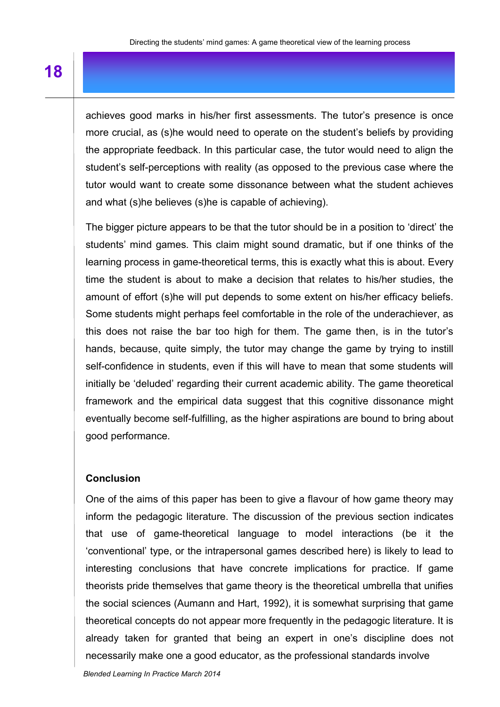achieves good marks in his/her first assessments. The tutor's presence is once more crucial, as (s)he would need to operate on the student's beliefs by providing the appropriate feedback. In this particular case, the tutor would need to align the student's self-perceptions with reality (as opposed to the previous case where the tutor would want to create some dissonance between what the student achieves and what (s)he believes (s)he is capable of achieving).

The bigger picture appears to be that the tutor should be in a position to 'direct' the students' mind games. This claim might sound dramatic, but if one thinks of the learning process in game-theoretical terms, this is exactly what this is about. Every time the student is about to make a decision that relates to his/her studies, the amount of effort (s)he will put depends to some extent on his/her efficacy beliefs. Some students might perhaps feel comfortable in the role of the underachiever, as this does not raise the bar too high for them. The game then, is in the tutor's hands, because, quite simply, the tutor may change the game by trying to instill self-confidence in students, even if this will have to mean that some students will initially be 'deluded' regarding their current academic ability. The game theoretical framework and the empirical data suggest that this cognitive dissonance might eventually become self-fulfilling, as the higher aspirations are bound to bring about good performance.

### **Conclusion**

One of the aims of this paper has been to give a flavour of how game theory may inform the pedagogic literature. The discussion of the previous section indicates that use of game-theoretical language to model interactions (be it the 'conventional' type, or the intrapersonal games described here) is likely to lead to interesting conclusions that have concrete implications for practice. If game theorists pride themselves that game theory is the theoretical umbrella that unifies the social sciences (Aumann and Hart, 1992), it is somewhat surprising that game theoretical concepts do not appear more frequently in the pedagogic literature. It is already taken for granted that being an expert in one's discipline does not necessarily make one a good educator, as the professional standards involve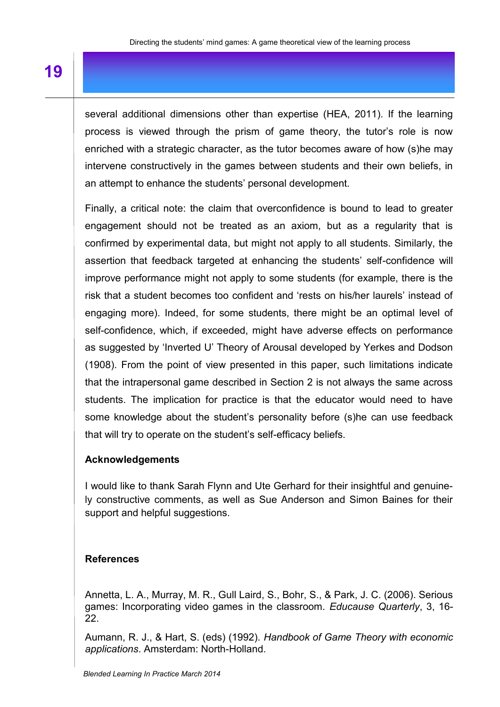several additional dimensions other than expertise (HEA, 2011). If the learning process is viewed through the prism of game theory, the tutor's role is now enriched with a strategic character, as the tutor becomes aware of how (s)he may intervene constructively in the games between students and their own beliefs, in an attempt to enhance the students' personal development.

Finally, a critical note: the claim that overconfidence is bound to lead to greater engagement should not be treated as an axiom, but as a regularity that is confirmed by experimental data, but might not apply to all students. Similarly, the assertion that feedback targeted at enhancing the students' self-confidence will improve performance might not apply to some students (for example, there is the risk that a student becomes too confident and 'rests on his/her laurels' instead of engaging more). Indeed, for some students, there might be an optimal level of self-confidence, which, if exceeded, might have adverse effects on performance as suggested by 'Inverted U' Theory of Arousal developed by Yerkes and Dodson (1908). From the point of view presented in this paper, such limitations indicate that the intrapersonal game described in Section 2 is not always the same across students. The implication for practice is that the educator would need to have some knowledge about the student's personality before (s)he can use feedback that will try to operate on the student's self-efficacy beliefs.

## **Acknowledgements**

I would like to thank Sarah Flynn and Ute Gerhard for their insightful and genuinely constructive comments, as well as Sue Anderson and Simon Baines for their support and helpful suggestions.

## **References**

Annetta, L. A., Murray, M. R., Gull Laird, S., Bohr, S., & Park, J. C. (2006). Serious games: Incorporating video games in the classroom. *Educause Quarterly*, 3, 16- 22.

Aumann, R. J., & Hart, S. (eds) (1992). *Handbook of Game Theory with economic applications*. Amsterdam: North-Holland.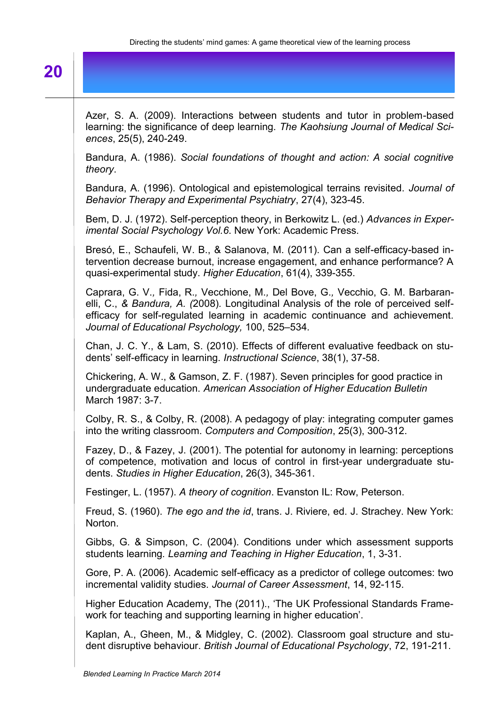# **20**

| Azer, S. A. (2009). Interactions between students and tutor in problem-based<br>learning: the significance of deep learning. The Kaohsiung Journal of Medical Sci-<br>ences, 25(5), 240-249.                                                                                                                 |
|--------------------------------------------------------------------------------------------------------------------------------------------------------------------------------------------------------------------------------------------------------------------------------------------------------------|
| Bandura, A. (1986). Social foundations of thought and action: A social cognitive<br>theory.                                                                                                                                                                                                                  |
| Bandura, A. (1996). Ontological and epistemological terrains revisited. Journal of<br>Behavior Therapy and Experimental Psychiatry, 27(4), 323-45.                                                                                                                                                           |
| Bem, D. J. (1972). Self-perception theory, in Berkowitz L. (ed.) Advances in Exper-<br>imental Social Psychology Vol.6. New York: Academic Press.                                                                                                                                                            |
| Bresó, E., Schaufeli, W. B., & Salanova, M. (2011). Can a self-efficacy-based in-<br>tervention decrease burnout, increase engagement, and enhance performance? A<br>quasi-experimental study. Higher Education, 61(4), 339-355.                                                                             |
| Caprara, G. V., Fida, R., Vecchione, M., Del Bove, G., Vecchio, G. M. Barbaran-<br>elli, C., & Bandura, A. (2008). Longitudinal Analysis of the role of perceived self-<br>efficacy for self-regulated learning in academic continuance and achievement.<br>Journal of Educational Psychology, 100, 525-534. |
| Chan, J. C. Y., & Lam, S. (2010). Effects of different evaluative feedback on stu-<br>dents' self-efficacy in learning. Instructional Science, 38(1), 37-58.                                                                                                                                                 |
| Chickering, A. W., & Gamson, Z. F. (1987). Seven principles for good practice in<br>undergraduate education. American Association of Higher Education Bulletin<br>March 1987: 3-7.                                                                                                                           |
| Colby, R. S., & Colby, R. (2008). A pedagogy of play: integrating computer games<br>into the writing classroom. Computers and Composition, 25(3), 300-312.                                                                                                                                                   |
| Fazey, D., & Fazey, J. (2001). The potential for autonomy in learning: perceptions<br>of competence, motivation and locus of control in first-year undergraduate stu-<br>dents. Studies in Higher Education, 26(3), 345-361.                                                                                 |
| Festinger, L. (1957). A theory of cognition. Evanston IL: Row, Peterson.                                                                                                                                                                                                                                     |
| Freud, S. (1960). The ego and the id, trans. J. Riviere, ed. J. Strachey. New York:<br>Norton.                                                                                                                                                                                                               |
| Gibbs, G. & Simpson, C. (2004). Conditions under which assessment supports<br>students learning. Learning and Teaching in Higher Education, 1, 3-31.                                                                                                                                                         |
| Gore, P. A. (2006). Academic self-efficacy as a predictor of college outcomes: two<br>incremental validity studies. Journal of Career Assessment, 14, 92-115.                                                                                                                                                |
| Higher Education Academy, The (2011)., 'The UK Professional Standards Frame-<br>work for teaching and supporting learning in higher education.                                                                                                                                                               |
| Kaplan, A., Gheen, M., & Midgley, C. (2002). Classroom goal structure and stu-<br>dent disruptive behaviour. British Journal of Educational Psychology, 72, 191-211.                                                                                                                                         |
|                                                                                                                                                                                                                                                                                                              |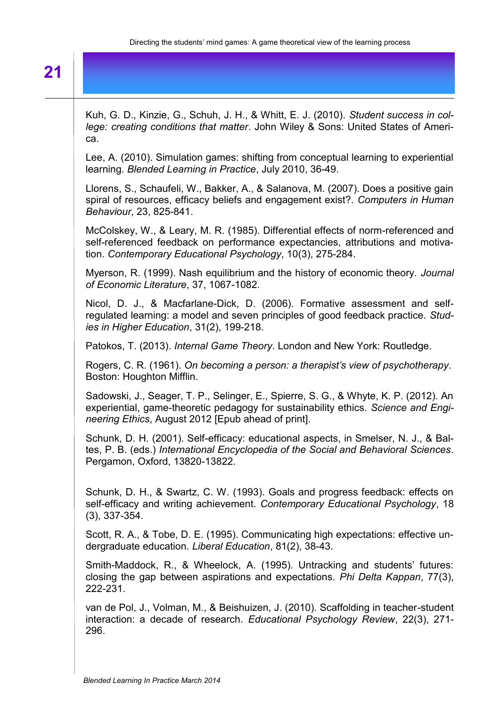# **21**

Kuh, G. D., Kinzie, G., Schuh, J. H., & Whitt, E. J. (2010). *Student success in college: creating conditions that matter*. John Wiley & Sons: United States of America. Lee, A. (2010). Simulation games: shifting from conceptual learning to experiential learning. *Blended Learning in Practice*, July 2010, 36-49. Llorens, S., Schaufeli, W., Bakker, A., & Salanova, M. (2007). Does a positive gain spiral of resources, efficacy beliefs and engagement exist?. *Computers in Human Behaviour*, 23, 825-841. McColskey, W., & Leary, M. R. (1985). Differential effects of norm-referenced and self-referenced feedback on performance expectancies, attributions and motivation. *Contemporary Educational Psychology*, 10(3), 275-284. Myerson, R. (1999). Nash equilibrium and the history of economic theory. *Journal of Economic Literature*, 37, 1067-1082. Nicol, D. J., & Macfarlane-Dick, D. (2006). Formative assessment and selfregulated learning: a model and seven principles of good feedback practice. *Studies in Higher Education*, 31(2), 199-218. Patokos, T. (2013). *Internal Game Theory*. London and New York: Routledge. Rogers, C. R. (1961). *On becoming a person: a therapist's view of psychotherapy*. Boston: Houghton Mifflin. Sadowski, J., Seager, T. P., Selinger, E., Spierre, S. G., & Whyte, K. P. (2012). An experiential, game-theoretic pedagogy for sustainability ethics. *Science and Engineering Ethics*, August 2012 [Epub ahead of print]. Schunk, D. H. (2001). Self-efficacy: educational aspects, in Smelser, N. J., & Baltes, P. B. (eds.) *International Encyclopedia of the Social and Behavioral Sciences*. Pergamon, Oxford, 13820-13822. Schunk, D. H., & Swartz, C. W. (1993). Goals and progress feedback: effects on self-efficacy and writing achievement. *Contemporary Educational Psychology*, 18 (3), 337-354. Scott, R. A., & Tobe, D. E. (1995). Communicating high expectations: effective undergraduate education. *Liberal Education*, 81(2), 38-43. Smith-Maddock, R., & Wheelock, A. (1995). Untracking and students' futures: closing the gap between aspirations and expectations. *Phi Delta Kappan*, 77(3), 222-231. van de Pol, J., Volman, M., & Beishuizen, J. (2010). Scaffolding in teacher-student interaction: a decade of research. *Educational Psychology Review*, 22(3), 271- 296.